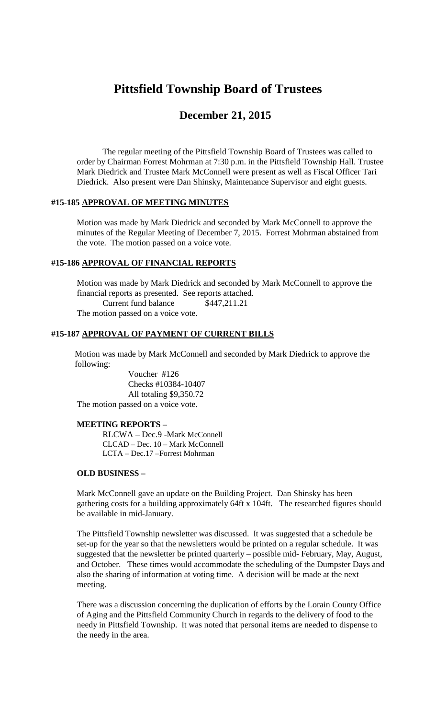# **Pittsfield Township Board of Trustees**

## **December 21, 2015**

The regular meeting of the Pittsfield Township Board of Trustees was called to order by Chairman Forrest Mohrman at 7:30 p.m. in the Pittsfield Township Hall. Trustee Mark Diedrick and Trustee Mark McConnell were present as well as Fiscal Officer Tari Diedrick. Also present were Dan Shinsky, Maintenance Supervisor and eight guests.

#### **#15-185 APPROVAL OF MEETING MINUTES**

Motion was made by Mark Diedrick and seconded by Mark McConnell to approve the minutes of the Regular Meeting of December 7, 2015. Forrest Mohrman abstained from the vote. The motion passed on a voice vote.

#### **#15-186 APPROVAL OF FINANCIAL REPORTS**

Motion was made by Mark Diedrick and seconded by Mark McConnell to approve the financial reports as presented. See reports attached. Current fund balance \$447,211.21 The motion passed on a voice vote.

#### **#15-187 APPROVAL OF PAYMENT OF CURRENT BILLS**

Motion was made by Mark McConnell and seconded by Mark Diedrick to approve the following:

Voucher #126 Checks #10384-10407 All totaling \$9,350.72 The motion passed on a voice vote.

#### **MEETING REPORTS –**

RLCWA – Dec.9 -Mark McConnell CLCAD – Dec. 10 – Mark McConnell LCTA – Dec.17 –Forrest Mohrman

#### **OLD BUSINESS –**

Mark McConnell gave an update on the Building Project. Dan Shinsky has been gathering costs for a building approximately 64ft x 104ft. The researched figures should be available in mid-January.

The Pittsfield Township newsletter was discussed. It was suggested that a schedule be set-up for the year so that the newsletters would be printed on a regular schedule. It was suggested that the newsletter be printed quarterly – possible mid- February, May, August, and October. These times would accommodate the scheduling of the Dumpster Days and also the sharing of information at voting time. A decision will be made at the next meeting.

There was a discussion concerning the duplication of efforts by the Lorain County Office of Aging and the Pittsfield Community Church in regards to the delivery of food to the needy in Pittsfield Township. It was noted that personal items are needed to dispense to the needy in the area.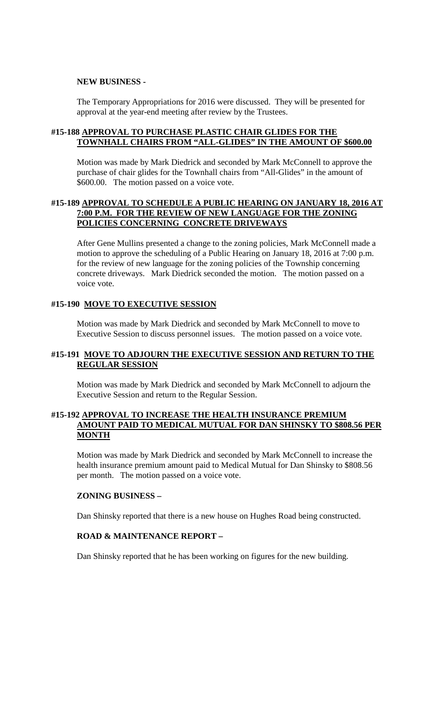#### **NEW BUSINESS -**

The Temporary Appropriations for 2016 were discussed. They will be presented for approval at the year-end meeting after review by the Trustees.

#### **#15-188 APPROVAL TO PURCHASE PLASTIC CHAIR GLIDES FOR THE TOWNHALL CHAIRS FROM "ALL-GLIDES" IN THE AMOUNT OF \$600.00**

Motion was made by Mark Diedrick and seconded by Mark McConnell to approve the purchase of chair glides for the Townhall chairs from "All-Glides" in the amount of \$600.00. The motion passed on a voice vote.

#### **#15-189 APPROVAL TO SCHEDULE A PUBLIC HEARING ON JANUARY 18, 2016 AT 7:00 P.M. FOR THE REVIEW OF NEW LANGUAGE FOR THE ZONING POLICIES CONCERNING CONCRETE DRIVEWAYS**

After Gene Mullins presented a change to the zoning policies, Mark McConnell made a motion to approve the scheduling of a Public Hearing on January 18, 2016 at 7:00 p.m. for the review of new language for the zoning policies of the Township concerning concrete driveways. Mark Diedrick seconded the motion. The motion passed on a voice vote.

#### **#15-190 MOVE TO EXECUTIVE SESSION**

Motion was made by Mark Diedrick and seconded by Mark McConnell to move to Executive Session to discuss personnel issues. The motion passed on a voice vote.

#### **#15-191 MOVE TO ADJOURN THE EXECUTIVE SESSION AND RETURN TO THE REGULAR SESSION**

Motion was made by Mark Diedrick and seconded by Mark McConnell to adjourn the Executive Session and return to the Regular Session.

#### **#15-192 APPROVAL TO INCREASE THE HEALTH INSURANCE PREMIUM AMOUNT PAID TO MEDICAL MUTUAL FOR DAN SHINSKY TO \$808.56 PER MONTH**

Motion was made by Mark Diedrick and seconded by Mark McConnell to increase the health insurance premium amount paid to Medical Mutual for Dan Shinsky to \$808.56 per month. The motion passed on a voice vote.

#### **ZONING BUSINESS –**

Dan Shinsky reported that there is a new house on Hughes Road being constructed.

#### **ROAD & MAINTENANCE REPORT –**

Dan Shinsky reported that he has been working on figures for the new building.